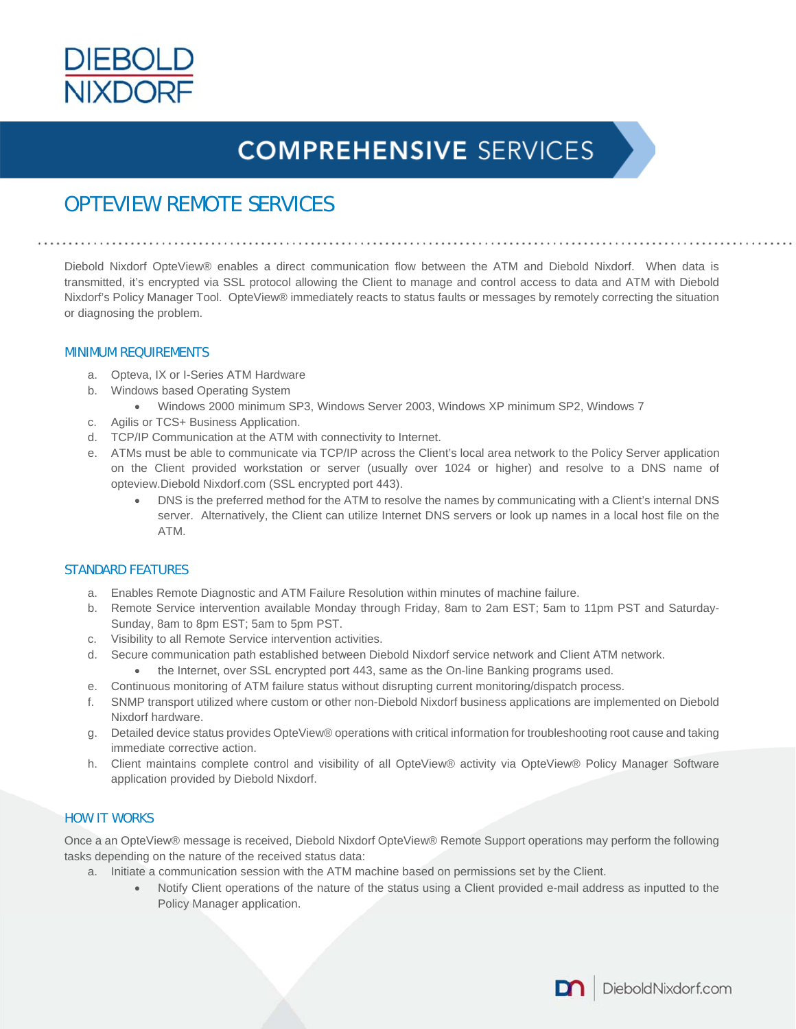

# **COMPREHENSIVE SERVICES**

### OPTEVIEW REMOTE SERVICES

Diebold Nixdorf OpteView® enables a direct communication flow between the ATM and Diebold Nixdorf. When data is transmitted, it's encrypted via SSL protocol allowing the Client to manage and control access to data and ATM with Diebold Nixdorf's Policy Manager Tool. OpteView® immediately reacts to status faults or messages by remotely correcting the situation or diagnosing the problem.

#### MINIMUM REQUIREMENTS

- a. Opteva, IX or I-Series ATM Hardware
- b. Windows based Operating System
	- Windows 2000 minimum SP3, Windows Server 2003, Windows XP minimum SP2, Windows 7
- c. Agilis or TCS+ Business Application.
- d. TCP/IP Communication at the ATM with connectivity to Internet.
- e. ATMs must be able to communicate via TCP/IP across the Client's local area network to the Policy Server application on the Client provided workstation or server (usually over 1024 or higher) and resolve to a DNS name of opteview.Diebold Nixdorf.com (SSL encrypted port 443).
	- DNS is the preferred method for the ATM to resolve the names by communicating with a Client's internal DNS server. Alternatively, the Client can utilize Internet DNS servers or look up names in a local host file on the ATM.

#### STANDARD FEATURES

- a. Enables Remote Diagnostic and ATM Failure Resolution within minutes of machine failure.
- b. Remote Service intervention available Monday through Friday, 8am to 2am EST; 5am to 11pm PST and Saturday-Sunday, 8am to 8pm EST; 5am to 5pm PST.
- c. Visibility to all Remote Service intervention activities.
- d. Secure communication path established between Diebold Nixdorf service network and Client ATM network.
	- the Internet, over SSL encrypted port 443, same as the On-line Banking programs used.
- e. Continuous monitoring of ATM failure status without disrupting current monitoring/dispatch process.
- f. SNMP transport utilized where custom or other non-Diebold Nixdorf business applications are implemented on Diebold Nixdorf hardware.
- g. Detailed device status provides OpteView® operations with critical information for troubleshooting root cause and taking immediate corrective action.
- h. Client maintains complete control and visibility of all OpteView® activity via OpteView® Policy Manager Software application provided by Diebold Nixdorf.

### HOW IT WORKS

Once a an OpteView® message is received, Diebold Nixdorf OpteView® Remote Support operations may perform the following tasks depending on the nature of the received status data:

- a. Initiate a communication session with the ATM machine based on permissions set by the Client.
	- Notify Client operations of the nature of the status using a Client provided e-mail address as inputted to the Policy Manager application.

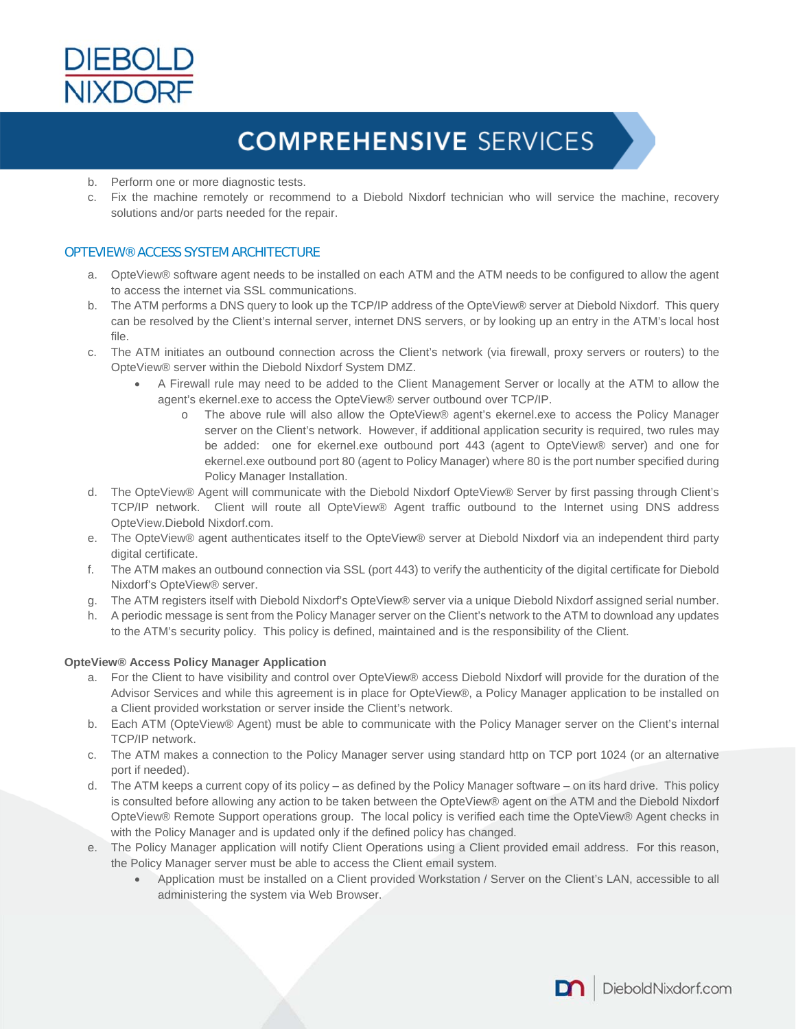

# **COMPREHENSIVE SERVICES**

- b. Perform one or more diagnostic tests.
- c. Fix the machine remotely or recommend to a Diebold Nixdorf technician who will service the machine, recovery solutions and/or parts needed for the repair.

### OPTEVIEW® ACCESS SYSTEM ARCHITECTURE

- a. OpteView® software agent needs to be installed on each ATM and the ATM needs to be configured to allow the agent to access the internet via SSL communications.
- b. The ATM performs a DNS query to look up the TCP/IP address of the OpteView® server at Diebold Nixdorf. This query can be resolved by the Client's internal server, internet DNS servers, or by looking up an entry in the ATM's local host file.
- c. The ATM initiates an outbound connection across the Client's network (via firewall, proxy servers or routers) to the OpteView® server within the Diebold Nixdorf System DMZ.
	- A Firewall rule may need to be added to the Client Management Server or locally at the ATM to allow the agent's ekernel.exe to access the OpteView® server outbound over TCP/IP.
		- o The above rule will also allow the OpteView® agent's ekernel.exe to access the Policy Manager server on the Client's network. However, if additional application security is required, two rules may be added: one for ekernel.exe outbound port 443 (agent to OpteView® server) and one for ekernel.exe outbound port 80 (agent to Policy Manager) where 80 is the port number specified during Policy Manager Installation.
- d. The OpteView® Agent will communicate with the Diebold Nixdorf OpteView® Server by first passing through Client's TCP/IP network. Client will route all OpteView® Agent traffic outbound to the Internet using DNS address OpteView.Diebold Nixdorf.com.
- e. The OpteView® agent authenticates itself to the OpteView® server at Diebold Nixdorf via an independent third party digital certificate.
- f. The ATM makes an outbound connection via SSL (port 443) to verify the authenticity of the digital certificate for Diebold Nixdorf's OpteView® server.
- g. The ATM registers itself with Diebold Nixdorf's OpteView® server via a unique Diebold Nixdorf assigned serial number.
- h. A periodic message is sent from the Policy Manager server on the Client's network to the ATM to download any updates to the ATM's security policy. This policy is defined, maintained and is the responsibility of the Client.

#### **OpteView® Access Policy Manager Application**

- a. For the Client to have visibility and control over OpteView® access Diebold Nixdorf will provide for the duration of the Advisor Services and while this agreement is in place for OpteView®, a Policy Manager application to be installed on a Client provided workstation or server inside the Client's network.
- b. Each ATM (OpteView® Agent) must be able to communicate with the Policy Manager server on the Client's internal TCP/IP network.
- c. The ATM makes a connection to the Policy Manager server using standard http on TCP port 1024 (or an alternative port if needed).
- d. The ATM keeps a current copy of its policy as defined by the Policy Manager software on its hard drive. This policy is consulted before allowing any action to be taken between the OpteView® agent on the ATM and the Diebold Nixdorf OpteView® Remote Support operations group. The local policy is verified each time the OpteView® Agent checks in with the Policy Manager and is updated only if the defined policy has changed.
- e. The Policy Manager application will notify Client Operations using a Client provided email address. For this reason, the Policy Manager server must be able to access the Client email system.
	- Application must be installed on a Client provided Workstation / Server on the Client's LAN, accessible to all administering the system via Web Browser.